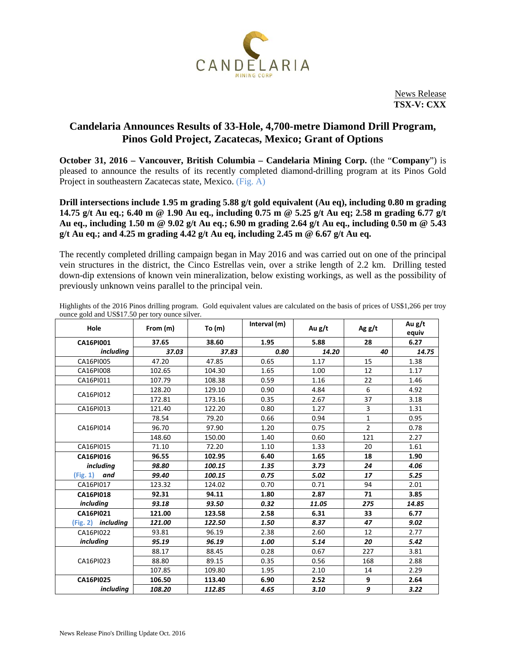

News Release **TSX-V: CXX**

## **Candelaria Announces Results of 33-Hole, 4,700-metre Diamond Drill Program, Pinos Gold Project, Zacatecas, Mexico; Grant of Options**

**October 31, 2016 – Vancouver, British Columbia – Candelaria Mining Corp.** (the "**Company**") is pleased to announce the results of its recently completed diamond-drilling program at its Pinos Gold Project in southeastern Zacatecas state, Mexico. (Fig. A)

**Drill intersections include 1.95 m grading 5.88 g/t gold equivalent (Au eq), including 0.80 m grading 14.75 g/t Au eq.; 6.40 m @ 1.90 Au eq., including 0.75 m @ 5.25 g/t Au eq; 2.58 m grading 6.77 g/t Au eq., including 1.50 m @ 9.02 g/t Au eq.; 6.90 m grading 2.64 g/t Au eq., including 0.50 m @ 5.43 g/t Au eq.; and 4.25 m grading 4.42 g/t Au eq, including 2.45 m @ 6.67 g/t Au eq.**

The recently completed drilling campaign began in May 2016 and was carried out on one of the principal vein structures in the district, the Cinco Estrellas vein, over a strike length of 2.2 km. Drilling tested down-dip extensions of known vein mineralization, below existing workings, as well as the possibility of previously unknown veins parallel to the principal vein.

| Hole                      | From (m) | To $(m)$ | Interval (m) | Au g/t | Agg/t          | Au g/t<br>equiv |
|---------------------------|----------|----------|--------------|--------|----------------|-----------------|
| CA16PI001                 | 37.65    | 38.60    | 1.95         | 5.88   | 28             | 6.27            |
| including                 | 37.03    | 37.83    | 0.80         | 14.20  | 40             | 14.75           |
| CA16PI005                 | 47.20    | 47.85    | 0.65         | 1.17   | 15             | 1.38            |
| CA16PI008                 | 102.65   | 104.30   | 1.65         | 1.00   | 12             | 1.17            |
| CA16PI011                 | 107.79   | 108.38   | 0.59         | 1.16   | 22             | 1.46            |
| CA16PI012                 | 128.20   | 129.10   | 0.90         | 4.84   | 6              | 4.92            |
|                           | 172.81   | 173.16   | 0.35         | 2.67   | 37             | 3.18            |
| CA16PI013                 | 121.40   | 122.20   | 0.80         | 1.27   | 3              | 1.31            |
| CA16PI014                 | 78.54    | 79.20    | 0.66         | 0.94   | $\mathbf{1}$   | 0.95            |
|                           | 96.70    | 97.90    | 1.20         | 0.75   | $\overline{2}$ | 0.78            |
|                           | 148.60   | 150.00   | 1.40         | 0.60   | 121            | 2.27            |
| CA16PI015                 | 71.10    | 72.20    | 1.10         | 1.33   | 20             | 1.61            |
| CA16PI016                 | 96.55    | 102.95   | 6.40         | 1.65   | 18             | 1.90            |
| <i>including</i>          | 98.80    | 100.15   | 1.35         | 3.73   | 24             | 4.06            |
| (Fig. 1)<br>and           | 99.40    | 100.15   | 0.75         | 5.02   | 17             | 5.25            |
| CA16PI017                 | 123.32   | 124.02   | 0.70         | 0.71   | 94             | 2.01            |
| <b>CA16PI018</b>          | 92.31    | 94.11    | 1.80         | 2.87   | 71             | 3.85            |
| including                 | 93.18    | 93.50    | 0.32         | 11.05  | 275            | 14.85           |
| CA16PI021                 | 121.00   | 123.58   | 2.58         | 6.31   | 33             | 6.77            |
| (Fig. 2) <i>including</i> | 121.00   | 122.50   | 1.50         | 8.37   | 47             | 9.02            |
| CA16PI022                 | 93.81    | 96.19    | 2.38         | 2.60   | 12             | 2.77            |
| including                 | 95.19    | 96.19    | 1.00         | 5.14   | 20             | 5.42            |
| CA16PI023                 | 88.17    | 88.45    | 0.28         | 0.67   | 227            | 3.81            |
|                           | 88.80    | 89.15    | 0.35         | 0.56   | 168            | 2.88            |
|                           | 107.85   | 109.80   | 1.95         | 2.10   | 14             | 2.29            |
| <b>CA16PI025</b>          | 106.50   | 113.40   | 6.90         | 2.52   | 9              | 2.64            |
| including                 | 108.20   | 112.85   | 4.65         | 3.10   | 9              | 3.22            |

Highlights of the 2016 Pinos drilling program. Gold equivalent values are calculated on the basis of prices of US\$1,266 per troy ounce gold and US\$17.50 per tory ounce silver.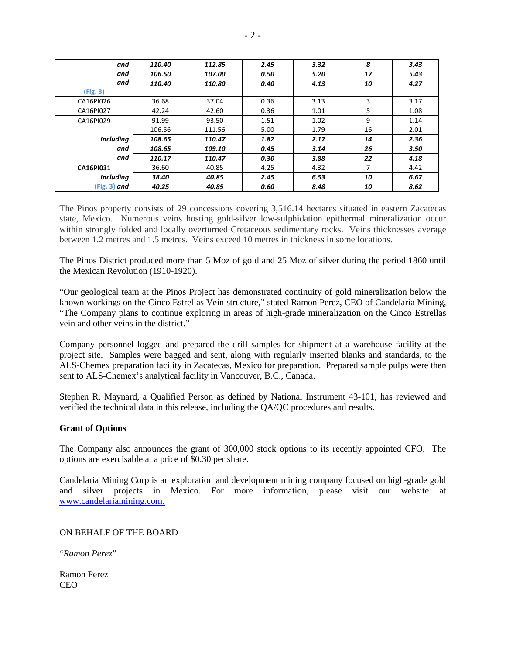| and              | 110.40 | 112.85 | 2.45 | 3.32 | 8  | 3.43 |
|------------------|--------|--------|------|------|----|------|
| and              | 106.50 | 107.00 | 0.50 | 5.20 | 17 | 5.43 |
| and              | 110.40 | 110.80 | 0.40 | 4.13 | 10 | 4.27 |
| (Fig. 3)         |        |        |      |      |    |      |
| CA16PI026        | 36.68  | 37.04  | 0.36 | 3.13 | 3  | 3.17 |
| CA16PI027        | 42.24  | 42.60  | 0.36 | 1.01 | 5  | 1.08 |
| CA16PI029        | 91.99  | 93.50  | 1.51 | 1.02 | 9  | 1.14 |
|                  | 106.56 | 111.56 | 5.00 | 1.79 | 16 | 2.01 |
| <b>Including</b> | 108.65 | 110.47 | 1.82 | 2.17 | 14 | 2.36 |
| and              | 108.65 | 109.10 | 0.45 | 3.14 | 26 | 3.50 |
| and              | 110.17 | 110.47 | 0.30 | 3.88 | 22 | 4.18 |
| <b>CA16PI031</b> | 36.60  | 40.85  | 4.25 | 4.32 | 7  | 4.42 |
| <b>Including</b> | 38.40  | 40.85  | 2.45 | 6.53 | 10 | 6.67 |
| $(Fig. 3)$ and   | 40.25  | 40.85  | 0.60 | 8.48 | 10 | 8.62 |

The Pinos property consists of 29 concessions covering 3,516.14 hectares situated in eastern Zacatecas state, Mexico. Numerous veins hosting gold-silver low-sulphidation epithermal mineralization occur within strongly folded and locally overturned Cretaceous sedimentary rocks. Veins thicknesses average between 1.2 metres and 1.5 metres. Veins exceed 10 metres in thickness in some locations.

The Pinos District produced more than 5 Moz of gold and 25 Moz of silver during the period 1860 until the Mexican Revolution (1910-1920).

"Our geological team at the Pinos Project has demonstrated continuity of gold mineralization below the known workings on the Cinco Estrellas Vein structure," stated Ramon Perez, CEO of Candelaria Mining, "The Company plans to continue exploring in areas of high-grade mineralization on the Cinco Estrellas vein and other veins in the district."

Company personnel logged and prepared the drill samples for shipment at a warehouse facility at the project site. Samples were bagged and sent, along with regularly inserted blanks and standards, to the ALS-Chemex preparation facility in Zacatecas, Mexico for preparation. Prepared sample pulps were then sent to ALS-Chemex's analytical facility in Vancouver, B.C., Canada.

Stephen R. Maynard, a Qualified Person as defined by National Instrument 43-101, has reviewed and verified the technical data in this release, including the QA/QC procedures and results.

## **Grant of Options**

The Company also announces the grant of 300,000 stock options to its recently appointed CFO. The options are exercisable at a price of \$0.30 per share.

Candelaria Mining Corp is an exploration and development mining company focused on high-grade gold and silver projects in Mexico. For more information, please visit our website at [www.candelariamining.com.](http://www.candelariamining.com/)

ON BEHALF OF THE BOARD

"*Ramon Perez*"

Ramon Perez CEO